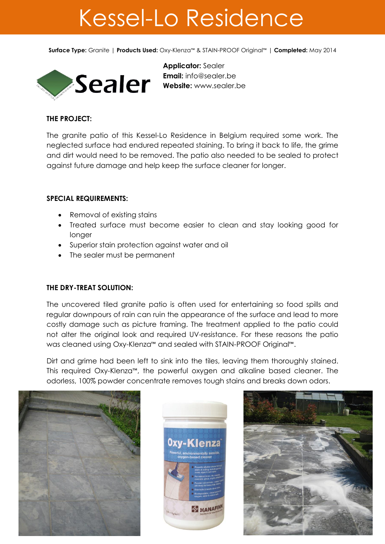## Kessel-Lo Residence

**Surface Type:** Granite | **Products Used:** Oxy-Klenza™ & STAIN-PROOF Original™ | **Completed:** May 2014



**Applicator:** Sealer **Email:** [info@sealer.be](mailto:info@sealer.be) **Website:** www.sealer.be

## **THE PROJECT:**

The granite patio of this Kessel-Lo Residence in Belgium required some work. The neglected surface had endured repeated staining. To bring it back to life, the grime and dirt would need to be removed. The patio also needed to be sealed to protect against future damage and help keep the surface cleaner for longer.

## **SPECIAL REQUIREMENTS:**

- Removal of existing stains
- Treated surface must become easier to clean and stay looking good for longer
- Superior stain protection against water and oil
- The sealer must be permanent

## **THE DRY-TREAT SOLUTION:**

The uncovered tiled granite patio is often used for entertaining so food spills and regular downpours of rain can ruin the appearance of the surface and lead to more costly damage such as picture framing. The treatment applied to the patio could not alter the original look and required UV-resistance. For these reasons the patio was cleaned using Oxy-Klenza™ and sealed with STAIN-PROOF Original™.

Dirt and grime had been left to sink into the tiles, leaving them thoroughly stained. This required Oxy-Klenza™, the powerful oxygen and alkaline based cleaner. The odorless, 100% powder concentrate removes tough stains and breaks down odors.